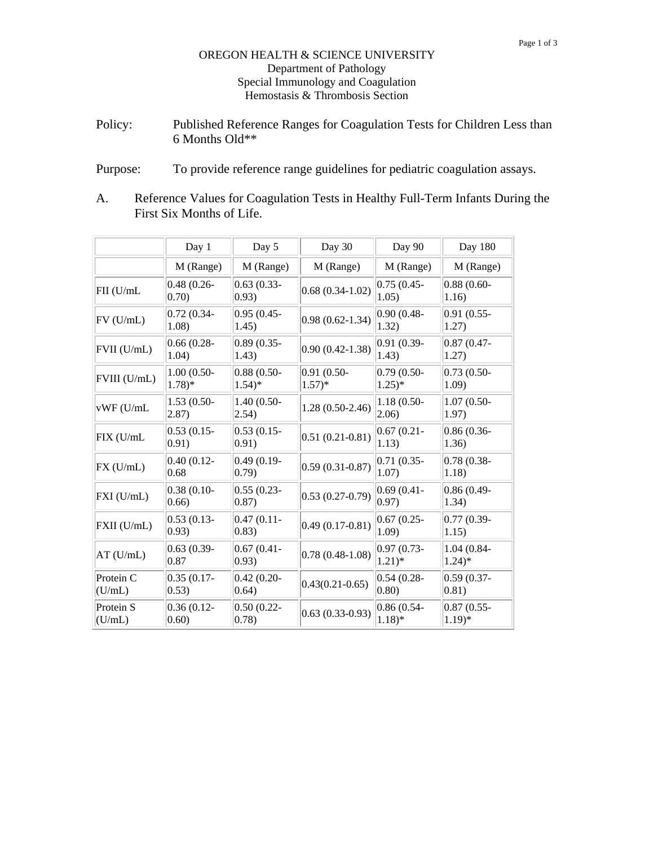## OREGON HEALTH & SCIENCE UNIVERSITY Department of Pathology Special Immunology and Coagulation Hemostasis & Thrombosis Section

- Policy: Published Reference Ranges for Coagulation Tests for Children Less than 6 Months Old\*\*
- Purpose: To provide reference range guidelines for pediatric coagulation assays.
- A. Reference Values for Coagulation Tests in Healthy Full-Term Infants During the First Six Months of Life.

|                     | Day 1                           | Day 5                               | Day 30                    | Day 90                    | Day 180                            |
|---------------------|---------------------------------|-------------------------------------|---------------------------|---------------------------|------------------------------------|
|                     | M (Range)                       | M (Range)                           | M (Range)                 | M (Range)                 | M (Range)                          |
| FII (U/mL           | $0.48(0.26 -$<br>$ 0.70\rangle$ | $0.63(0.33 -$<br>(0.93)             | $0.68(0.34-1.02)$         | $0.75(0.45 -$<br>1.05)    | $0.88(0.60 -$<br>1.16)             |
| $FV$ ( $U/mL$ )     | $0.72(0.34 -$<br>1.08)          | $0.95(0.45 -$<br>1.45)              | $0.98(0.62 - 1.34)$       | $0.90(0.48 -$<br>1.32)    | $0.91(0.55 -$<br>1.27)             |
| FVII (U/mL)         | $0.66(0.28 -$<br>1.04)          | $0.89(0.35 -$<br>1.43)              | $0.90(0.42 - 1.38)$       | 0.91 (0.39-<br>1.43)      | $0.87(0.47 -$<br>1.27)             |
| FVIII (U/mL)        | $1.00(0.50-$<br>$1.78)*$        | $0.88(0.50-$<br>$1.54$ <sup>*</sup> | $0.91(0.50 -$<br>$1.57)*$ | $0.79(0.50-$<br>$1.25)*$  | $0.73(0.50-$<br>1.09)              |
| vWF (U/mL           | $1.53(0.50-$<br>2.87)           | 1.40 (0.50-<br>(2.54)               | $1.28(0.50-2.46)$         | $1.18(0.50-$<br>(2.06)    | $1.07(0.50 -$<br>1.97)             |
| FIX (U/mL           | $0.53(0.15 -$<br>$ 0.91\rangle$ | $0.53(0.15 -$<br>$ 0.91\rangle$     | $ 0.51(0.21-0.81)$        | $0.67(0.21 -$<br>1.13)    | $0.86(0.36 -$<br>1.36)             |
| FX (U/mL)           | $0.40(0.12 -$<br>0.68           | $0.49(0.19-$<br>$ 0.79\rangle$      | $0.59(0.31 - 0.87)$       | $0.71(0.35 -$<br>1.07)    | $0.78(0.38 -$<br>1.18)             |
| $FXI$ ( $U/mL$ )    | $0.38(0.10-$<br>(0.66)          | $0.55(0.23 -$<br>(0.87)             | $0.53(0.27-0.79)$         | $0.69(0.41 -$<br>(0.97)   | $0.86(0.49 -$<br>1.34)             |
| FXII (U/mL)         | $0.53(0.13 -$<br>(0.93)         | $0.47(0.11 -$<br>$ 0.83\rangle$     | $ 0.49(0.17-0.81) $       | $0.67(0.25 -$<br>1.09)    | $0.77(0.39 -$<br>1.15)             |
| $AT$ (U/mL)         | $0.63(0.39-$<br>0.87            | $0.67(0.41 -$<br>(0.93)             | $0.78(0.48-1.08)$         | $0.97(0.73 -$<br>$1.21)*$ | 1.04 (0.84-<br>$1.24$ <sup>*</sup> |
| Protein C<br>(U/mL) | $0.35(0.17 -$<br>(0.53)         | $0.42(0.20-$<br>$ 0.64\rangle$      | $ 0.43(0.21-0.65) $       | $0.54(0.28 -$<br>(0.80)   | $0.59(0.37 -$<br>(0.81)            |
| Protein S<br>(U/mL) | $0.36(0.12 -$<br>$ 0.60\rangle$ | $0.50(0.22 -$<br>$ 0.78\rangle$     | $ 0.63(0.33-0.93) $       | $0.86(0.54 -$<br>$1.18)*$ | $0.87(0.55 -$<br>$1.19)*$          |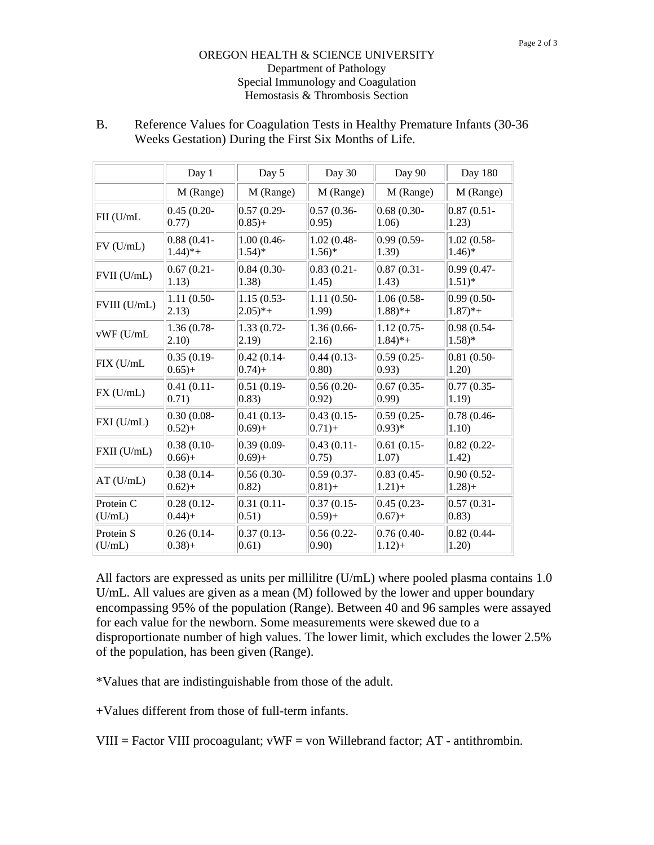## OREGON HEALTH & SCIENCE UNIVERSITY Department of Pathology Special Immunology and Coagulation Hemostasis & Thrombosis Section

|                 | Day 1                 | Day 5                | Day 30              | Day 90                | <b>Day 180</b>       |
|-----------------|-----------------------|----------------------|---------------------|-----------------------|----------------------|
|                 | M (Range)             | M (Range)            | M (Range)           | M (Range)             | M (Range)            |
| FII (U/mL       | $0.45(0.20-$          | $0.57(0.29 -$        | $0.57(0.36 -$       | $0.68(0.30-$          | $0.87(0.51 -$        |
|                 | $ 0.77\rangle$        | $ 0.85  +$           | (0.95)              | 1.06)                 | 1.23)                |
| $FV$ ( $U/mL$ ) | $0.88(0.41 -$         | $1.00(0.46 -$        | $1.02(0.48 -$       | $0.99(0.59-$          | $1.02(0.58 -$        |
|                 | $1.44$ <sup>*</sup> + | $1.54$ <sup>*</sup>  | $1.56$ <sup>*</sup> | 1.39)                 | $1.46*$              |
| FVII (U/mL)     | $0.67(0.21 -$         | $0.84(0.30-$         | $0.83(0.21 -$       | $0.87(0.31 -$         | $0.99(0.47 -$        |
|                 | (1.13)                | 1.38)                | 1.45)               | 1.43)                 | $1.51)*$             |
| FVIII (U/mL)    | $1.11(0.50-$          | $1.15(0.53 -$        | $1.11(0.50-$        | $1.06(0.58 -$         | $0.99(0.50 -$        |
|                 | $ 2.13\rangle$        | $2.05$ <sup>*+</sup> | 1.99)               | $1.88$ <sup>*</sup> + | $1.87$ <sup>*+</sup> |
| vWF (U/mL       | $1.36(0.78 -$         | 1.33 (0.72-          | 1.36 (0.66-         | $1.12(0.75 -$         | $0.98(0.54 -$        |
|                 | $ 2.10\rangle$        | (2.19)               | 2.16)               | $1.84$ <sup>*</sup> + | $1.58)*$             |
| FIX (U/mL       | $0.35(0.19 -$         | $0.42(0.14 -$        | $0.44(0.13-$        | $0.59(0.25 -$         | $0.81(0.50-$         |
|                 | $(0.65) +$            | $ 0.74  +$           | (0.80)              | (0.93)                | 1.20)                |
| FX (U/mL)       | $0.41(0.11 -$         | $0.51(0.19 -$        | $0.56(0.20 -$       | $0.67(0.35 -$         | $0.77(0.35 -$        |
|                 | 0.71)                 | $ 0.83\rangle$       | (0.92)              | (0.99)                | 1.19)                |
| FXI (U/mL)      | $0.30(0.08 -$         | $0.41(0.13-$         | $0.43(0.15 -$       | $0.59(0.25 -$         | $0.78(0.46 -$        |
|                 | $ 0.52  +$            | $ 0.69+$             | $(0.71) +$          | $(0.93)*$             | 1.10)                |
| FXII (U/mL)     | $0.38(0.10-$          | $0.39(0.09 -$        | $0.43(0.11 -$       | $0.61(0.15-$          | $0.82(0.22 -$        |
|                 | $ 0.66  +$            | $ 0.69+$             | 0.75)               | 1.07)                 | 1.42)                |
| $AT$ (U/mL)     | $0.38(0.14 -$         | $0.56(0.30 -$        | $0.59(0.37 -$       | $0.83(0.45 -$         | $0.90(0.52 -$        |
|                 | $ 0.62  +$            | $ 0.82\rangle$       | $0.81+$             | $1.21+$               | $1.28+$              |
| Protein C       | $0.28(0.12 -$         | $0.31(0.11 -$        | $0.37(0.15 -$       | $0.45(0.23 -$         | $0.57(0.31 -$        |
| (U/mL)          | 0.44                  | 0.51)                | $(0.59) +$          | $0.67+$               | $ 0.83\rangle$       |
| Protein S       | $0.26(0.14-$          | $ 0.37(0.13 -$       | $0.56(0.22 -$       | $0.76(0.40 -$         | $0.82(0.44 -$        |
| (U/mL)          | $(0.38) +$            | 0.61)                | 0.90)               | $1.12+$               | 1.20)                |

B. Reference Values for Coagulation Tests in Healthy Premature Infants (30-36 Weeks Gestation) During the First Six Months of Life.

All factors are expressed as units per millilitre (U/mL) where pooled plasma contains 1.0 U/mL. All values are given as a mean (M) followed by the lower and upper boundary encompassing 95% of the population (Range). Between 40 and 96 samples were assayed for each value for the newborn. Some measurements were skewed due to a disproportionate number of high values. The lower limit, which excludes the lower 2.5% of the population, has been given (Range).

\*Values that are indistinguishable from those of the adult.

+Values different from those of full-term infants.

VIII = Factor VIII procoagulant;  $vWF = von$  Willebrand factor;  $AT$  - antithrombin.